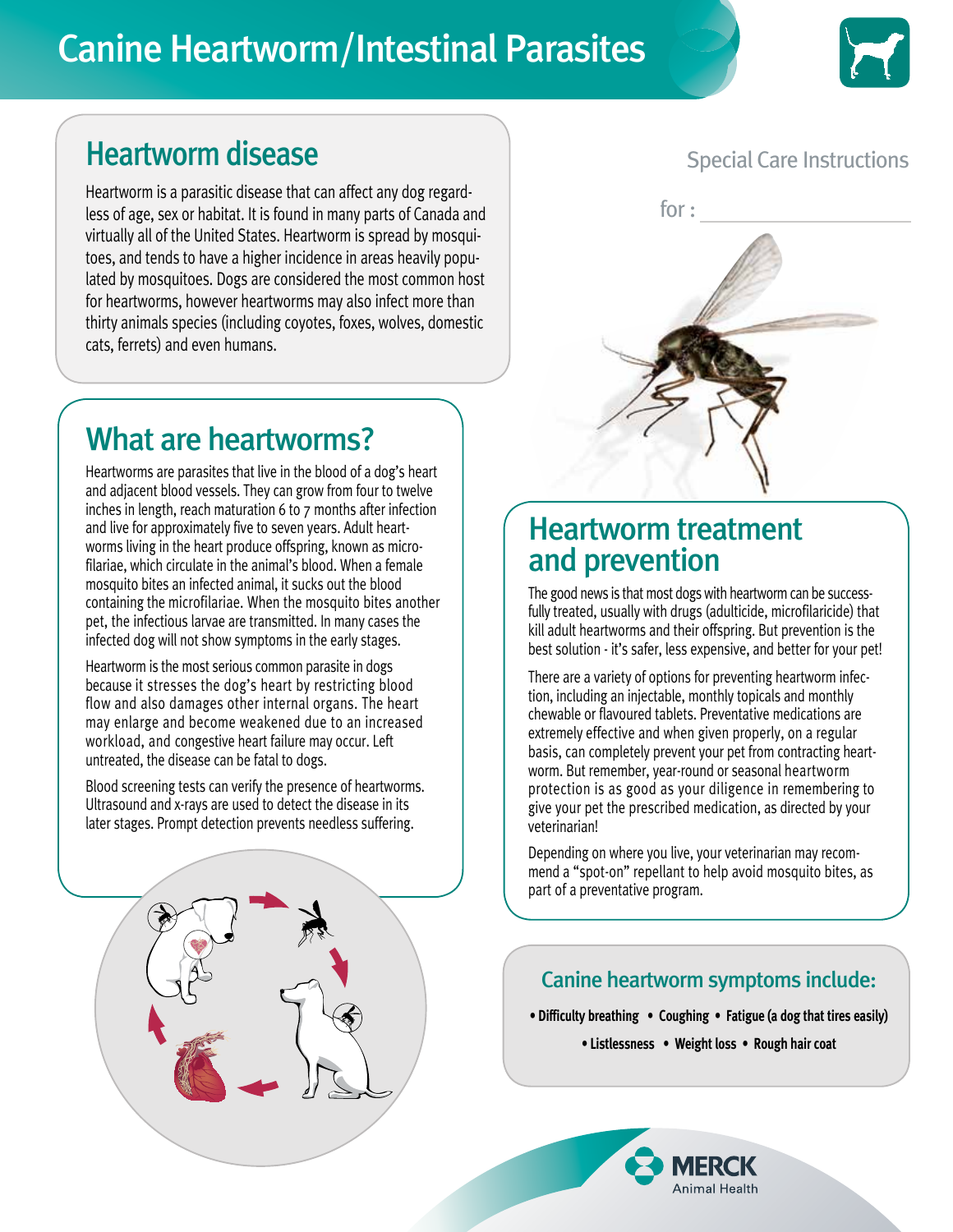# Canine Heartworm/Intestinal Parasites



# Heartworm disease

Heartworm is a parasitic disease that can affect any dog regardless of age, sex or habitat. It is found in many parts of Canada and virtually all of the United States. Heartworm is spread by mosquitoes, and tends to have a higher incidence in areas heavily populated by mosquitoes. Dogs are considered the most common host for heartworms, however heartworms may also infect more than thirty animals species (including coyotes, foxes, wolves, domestic cats, ferrets) and even humans.

### Special Care Instructions



## What are heartworms?

Heartworms are parasites that live in the blood of a dog's heart and adjacent blood vessels. They can grow from four to twelve inches in length, reach maturation 6 to 7 months after infection and live for approximately five to seven years. Adult heartworms living in the heart produce offspring, known as microfilariae, which circulate in the animal's blood. When a female mosquito bites an infected animal, it sucks out the blood containing the microfilariae. When the mosquito bites another pet, the infectious larvae are transmitted. In many cases the infected dog will not show symptoms in the early stages.

Heartworm is the most serious common parasite in dogs because it stresses the dog's heart by restricting blood flow and also damages other internal organs. The heart may enlarge and become weakened due to an increased workload, and congestive heart failure may occur. Left untreated, the disease can be fatal to dogs.

Blood screening tests can verify the presence of heartworms. Ultrasound and x-rays are used to detect the disease in its later stages. Prompt detection prevents needless suffering.

### Heartworm treatment and prevention

The good news is that most dogs with heartworm can be successfully treated, usually with drugs (adulticide, microfilaricide) that kill adult heartworms and their offspring. But prevention is the best solution - it's safer, less expensive, and better for your pet!

There are a variety of options for preventing heartworm infection, including an injectable, monthly topicals and monthly chewable or flavoured tablets. Preventative medications are extremely effective and when given properly, on a regular basis, can completely prevent your pet from contracting heartworm. But remember, year-round or seasonal heartworm protection is as good as your diligence in remembering to give your pet the prescribed medication, as directed by your veterinarian!

Depending on where you live, your veterinarian may recommend a "spot-on" repellant to help avoid mosquito bites, as part of a preventative program.

### Canine heartworm symptoms include:

- **Difficulty breathing Coughing Fatigue (a dog that tires easily)**
	- **Listlessness Weight loss Rough hair coat**